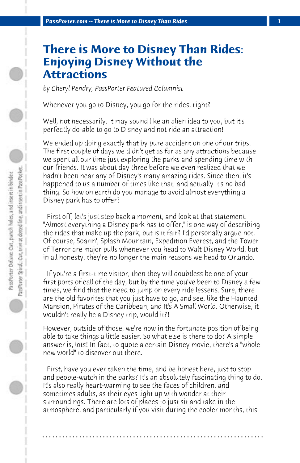## **There is More to Disney Than Rides: Enjoying Disney Without the Attractions**

*by Cheryl Pendry, PassPorter Featured Columnist*

Whenever you go to Disney, you go for the rides, right?

Well, not necessarily. It may sound like an alien idea to you, but it's perfectly do-able to go to Disney and not ride an attraction!

We ended up doing exactly that by pure accident on one of our trips. The first couple of days we didn't get as far as any attractions because we spent all our time just exploring the parks and spending time with our friends. It was about day three before we even realized that we hadn't been near any of Disney's many amazing rides. Since then, it's happened to us a number of times like that, and actually it's no bad thing. So how on earth do you manage to avoid almost everything a Disney park has to offer?

 First off, let's just step back a moment, and look at that statement. "Almost everything a Disney park has to offer," is one way of describing the rides that make up the park, but is it fair? I'd personally argue not. Of course, Soarin', Splash Mountain, Expedition Everest, and the Tower of Terror are major pulls whenever you head to Walt Disney World, but in all honesty, they're no longer the main reasons we head to Orlando.

 If you're a first-time visitor, then they will doubtless be one of your first ports of call of the day, but by the time you've been to Disney a few times, we find that the need to jump on every ride lessens. Sure, there are the old favorites that you just have to go, and see, like the Haunted Mansion, Pirates of the Caribbean, and It's A Small World. Otherwise, it wouldn't really be a Disney trip, would it?!

However, outside of those, we're now in the fortunate position of being able to take things a little easier. So what else is there to do? A simple answer is, lots! In fact, to quote a certain Disney movie, there's a "whole new world" to discover out there.

 First, have you ever taken the time, and be honest here, just to stop and people-watch in the parks? It's an absolutely fascinating thing to do. It's also really heart-warming to see the faces of children, and sometimes adults, as their eyes light up with wonder at their surroundings. There are lots of places to just sit and take in the atmosphere, and particularly if you visit during the cooler months, this

**. . . . . . . . . . . . . . . . . . . . . . . . . . . . . . . . . . . . . . . . . . . . . . . . . . . . . . . . . . . . . . . . . .**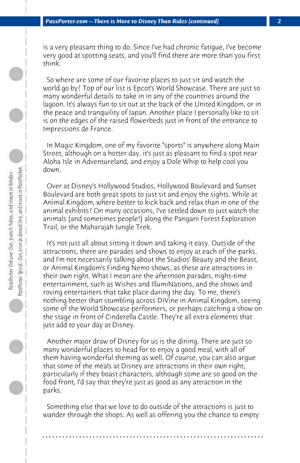is a very pleasant thing to do. Since I've had chronic fatigue, I've become very good at spotting seats, and you'll find there are more than you first think.

 So where are some of our favorite places to just sit and watch the world go by? Top of our list is Epcot's World Showcase. There are just so many wonderful details to take in in any of the countries around the lagoon. It's always fun to sit out at the back of the United Kingdom, or in the peace and tranquility of Japan. Another place I personally like to sit is on the edges of the raised flowerbeds just in front of the entrance to Impressions de France.

 In Magic Kingdom, one of my favorite "sports" is anywhere along Main Street, although on a hotter day, it's just as pleasant to find a spot near Aloha Isle in Adventureland, and enjoy a Dole Whip to help cool you down.

 Over at Disney's Hollywood Studios, Hollywood Boulevard and Sunset Boulevard are both great spots to just sit and enjoy the sights. While at Animal Kingdom, where better to kick back and relax than in one of the animal exhibits? On many occasions, I've settled down to just watch the animals (and sometimes people!) along the Pangani Forest Exploration Trail, or the Maharajah Jungle Trek.

 It's not just all about sitting it down and taking it easy. Outside of the attractions, there are parades and shows to enjoy at each of the parks, and I'm not necessarily talking about the Studios' Beauty and the Beast, or Animal Kingdom's Finding Nemo shows, as these are attractions in their own right. What I mean are the afternoon parades, night-time entertainment, such as Wishes and IllumiNations, and the shows and roving entertainers that take place during the day. To me, there's nothing better than stumbling across DiVine in Animal Kingdom, seeing some of the World Showcase performers, or perhaps catching a show on the stage in front of Cinderella Castle. They're all extra elements that just add to your day at Disney.

 Another major draw of Disney for us is the dining. There are just so many wonderful places to head for to enjoy a good meal, with all of them having wonderful theming as well. Of course, you can also argue that some of the meals at Disney are attractions in their own right, particularly if they boast characters, although some are so good on the food front, I'd say that they're just as good as any attraction in the parks.

 Something else that we love to do outside of the attractions is just to wander through the shops. As well as offering you the chance to empty

**. . . . . . . . . . . . . . . . . . . . . . . . . . . . . . . . . . . . . . . . . . . . . . . . . . . . . . . . . . . . . . . . . .**